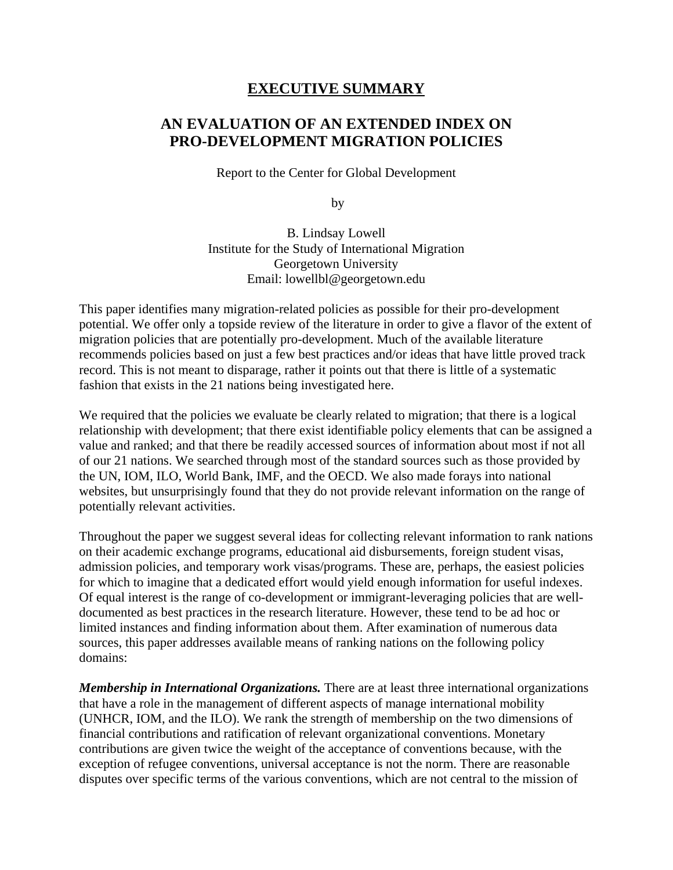## **EXECUTIVE SUMMARY**

## **AN EVALUATION OF AN EXTENDED INDEX ON PRO-DEVELOPMENT MIGRATION POLICIES**

Report to the Center for Global Development

by

B. Lindsay Lowell Institute for the Study of International Migration Georgetown University Email: lowellbl@georgetown.edu

This paper identifies many migration-related policies as possible for their pro-development potential. We offer only a topside review of the literature in order to give a flavor of the extent of migration policies that are potentially pro-development. Much of the available literature recommends policies based on just a few best practices and/or ideas that have little proved track record. This is not meant to disparage, rather it points out that there is little of a systematic fashion that exists in the 21 nations being investigated here.

We required that the policies we evaluate be clearly related to migration; that there is a logical relationship with development; that there exist identifiable policy elements that can be assigned a value and ranked; and that there be readily accessed sources of information about most if not all of our 21 nations. We searched through most of the standard sources such as those provided by the UN, IOM, ILO, World Bank, IMF, and the OECD. We also made forays into national websites, but unsurprisingly found that they do not provide relevant information on the range of potentially relevant activities.

Throughout the paper we suggest several ideas for collecting relevant information to rank nations on their academic exchange programs, educational aid disbursements, foreign student visas, admission policies, and temporary work visas/programs. These are, perhaps, the easiest policies for which to imagine that a dedicated effort would yield enough information for useful indexes. Of equal interest is the range of co-development or immigrant-leveraging policies that are welldocumented as best practices in the research literature. However, these tend to be ad hoc or limited instances and finding information about them. After examination of numerous data sources, this paper addresses available means of ranking nations on the following policy domains:

*Membership in International Organizations.* There are at least three international organizations that have a role in the management of different aspects of manage international mobility (UNHCR, IOM, and the ILO). We rank the strength of membership on the two dimensions of financial contributions and ratification of relevant organizational conventions. Monetary contributions are given twice the weight of the acceptance of conventions because, with the exception of refugee conventions, universal acceptance is not the norm. There are reasonable disputes over specific terms of the various conventions, which are not central to the mission of